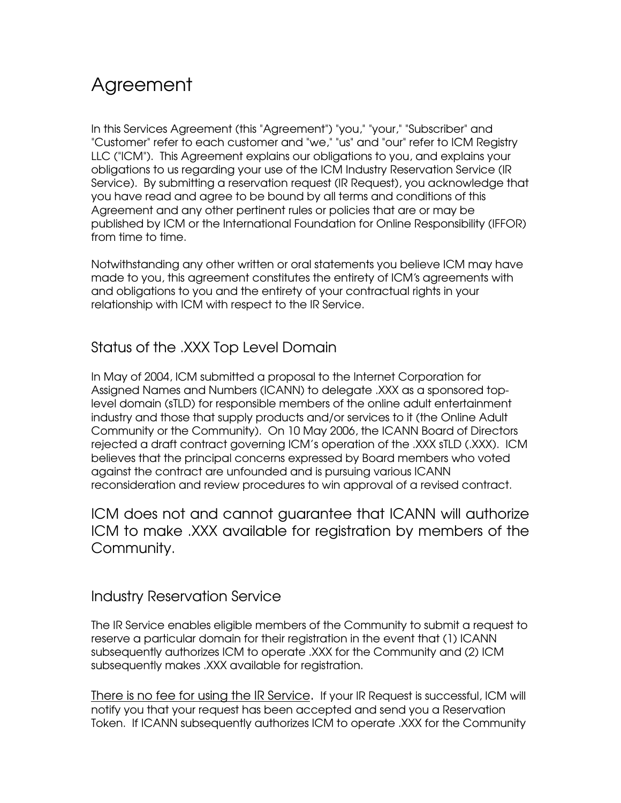# Agreement

In this Services Agreement (this "Agreement") "you," "your," "Subscriber" and "Customer" refer to each customer and "we," "us" and "our" refer to ICM Registry LLC ("ICM"). This Agreement explains our obligations to you, and explains your obligations to us regarding your use of the ICM Industry Reservation Service (IR Service). By submitting a reservation request (IR Request), you acknowledge that you have read and agree to be bound by all terms and conditions of this Agreement and any other pertinent rules or policies that are or may be published by ICM or the International Foundation for Online Responsibility (IFFOR) from time to time.

Notwithstanding any other written or oral statements you believe ICM may have made to you, this agreement constitutes the entirety of ICM's agreements with and obligations to you and the entirety of your contractual rights in your relationship with ICM with respect to the IR Service.

# Status of the .XXX Top Level Domain

In May of 2004, ICM submitted a proposal to the Internet Corporation for Assigned Names and Numbers (ICANN) to delegate .XXX as a sponsored toplevel domain (sTLD) for responsible members of the online adult entertainment industry and those that supply products and/or services to it (the Online Adult Community or the Community). On 10 May 2006, the ICANN Board of Directors rejected a draft contract governing ICM's operation of the .XXX sTLD (.XXX). ICM believes that the principal concerns expressed by Board members who voted against the contract are unfounded and is pursuing various ICANN reconsideration and review procedures to win approval of a revised contract.

ICM does not and cannot guarantee that ICANN will authorize ICM to make .XXX available for registration by members of the Community.

### Industry Reservation Service

The IR Service enables eligible members of the Community to submit a request to reserve a particular domain for their registration in the event that (1) ICANN subsequently authorizes ICM to operate .XXX for the Community and (2) ICM subsequently makes .XXX available for registration.

There is no fee for using the IR Service. If your IR Request is successful, ICM will notify you that your request has been accepted and send you a Reservation Token. If ICANN subsequently authorizes ICM to operate .XXX for the Community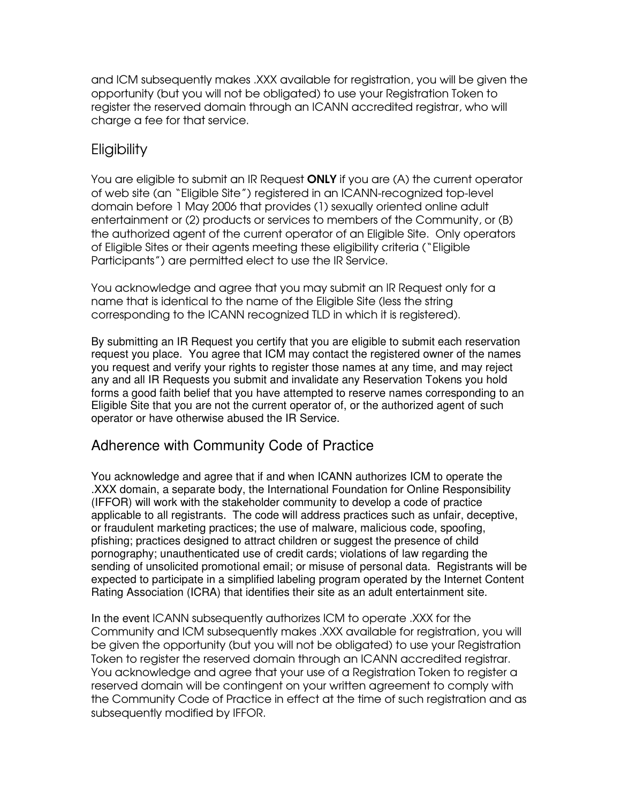and ICM subsequently makes .XXX available for registration, you will be given the opportunity (but you will not be obligated) to use your Registration Token to register the reserved domain through an ICANN accredited registrar, who will charge a fee for that service.

# **Eligibility**

You are eligible to submit an IR Request **ONLY** if you are (A) the current operator of web site (an "Eligible Site") registered in an ICANN-recognized top-level domain before 1 May 2006 that provides (1) sexually oriented online adult entertainment or (2) products or services to members of the Community, or (B) the authorized agent of the current operator of an Eligible Site. Only operators of Eligible Sites or their agents meeting these eligibility criteria ("Eligible Participants") are permitted elect to use the IR Service.

You acknowledge and agree that you may submit an IR Request only for a name that is identical to the name of the Eligible Site (less the string corresponding to the ICANN recognized TLD in which it is registered).

By submitting an IR Request you certify that you are eligible to submit each reservation request you place. You agree that ICM may contact the registered owner of the names you request and verify your rights to register those names at any time, and may reject any and all IR Requests you submit and invalidate any Reservation Tokens you hold forms a good faith belief that you have attempted to reserve names corresponding to an Eligible Site that you are not the current operator of, or the authorized agent of such operator or have otherwise abused the IR Service.

### Adherence with Community Code of Practice

You acknowledge and agree that if and when ICANN authorizes ICM to operate the .XXX domain, a separate body, the International Foundation for Online Responsibility (IFFOR) will work with the stakeholder community to develop a code of practice applicable to all registrants. The code will address practices such as unfair, deceptive, or fraudulent marketing practices; the use of malware, malicious code, spoofing, pfishing; practices designed to attract children or suggest the presence of child pornography; unauthenticated use of credit cards; violations of law regarding the sending of unsolicited promotional email; or misuse of personal data. Registrants will be expected to participate in a simplified labeling program operated by the Internet Content Rating Association (ICRA) that identifies their site as an adult entertainment site.

In the event ICANN subsequently authorizes ICM to operate .XXX for the Community and ICM subsequently makes .XXX available for registration, you will be given the opportunity (but you will not be obligated) to use your Registration Token to register the reserved domain through an ICANN accredited registrar. You acknowledge and agree that your use of a Registration Token to register a reserved domain will be contingent on your written agreement to comply with the Community Code of Practice in effect at the time of such registration and as subsequently modified by IFFOR.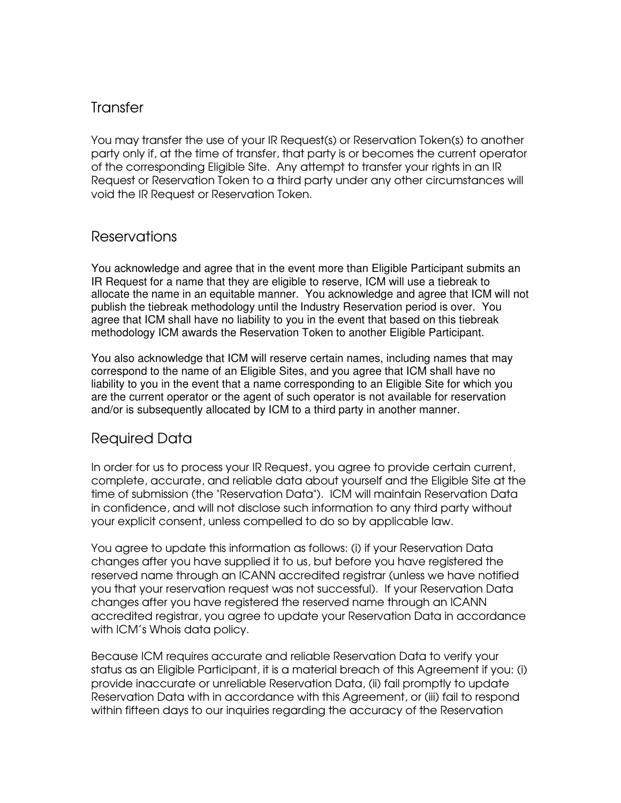### **Transfer**

You may transfer the use of your IR Request(s) or Reservation Token(s) to another party only if, at the time of transfer, that party is or becomes the current operator of the corresponding Eligible Site. Any attempt to transfer your rights in an IR Request or Reservation Token to a third party under any other circumstances will void the IR Request or Reservation Token.

#### Reservations

You acknowledge and agree that in the event more than Eligible Participant submits an IR Request for a name that they are eligible to reserve, ICM will use a tiebreak to allocate the name in an equitable manner. You acknowledge and agree that ICM will not publish the tiebreak methodology until the Industry Reservation period is over. You agree that ICM shall have no liability to you in the event that based on this tiebreak methodology ICM awards the Reservation Token to another Eligible Participant.

You also acknowledge that ICM will reserve certain names, including names that may correspond to the name of an Eligible Sites, and you agree that ICM shall have no liability to you in the event that a name corresponding to an Eligible Site for which you are the current operator or the agent of such operator is not available for reservation and/or is subsequently allocated by ICM to a third party in another manner.

### Required Data

In order for us to process your IR Request, you agree to provide certain current, complete, accurate, and reliable data about yourself and the Eligible Site at the time of submission (the "Reservation Data"). ICM will maintain Reservation Data in confidence, and will not disclose such information to any third party without your explicit consent, unless compelled to do so by applicable law.

You agree to update this information as follows: (i) if your Reservation Data changes after you have supplied it to us, but before you have registered the reserved name through an ICANN accredited registrar (unless we have notified you that your reservation request was not successful). If your Reservation Data changes after you have registered the reserved name through an ICANN accredited registrar, you agree to update your Reservation Data in accordance with ICM's Whois data policy.

Because ICM requires accurate and reliable Reservation Data to verify your status as an Eligible Participant, it is a material breach of this Agreement if you: (i) provide inaccurate or unreliable Reservation Data, (ii) fail promptly to update Reservation Data with in accordance with this Agreement, or (iii) fail to respond within fifteen days to our inquiries regarding the accuracy of the Reservation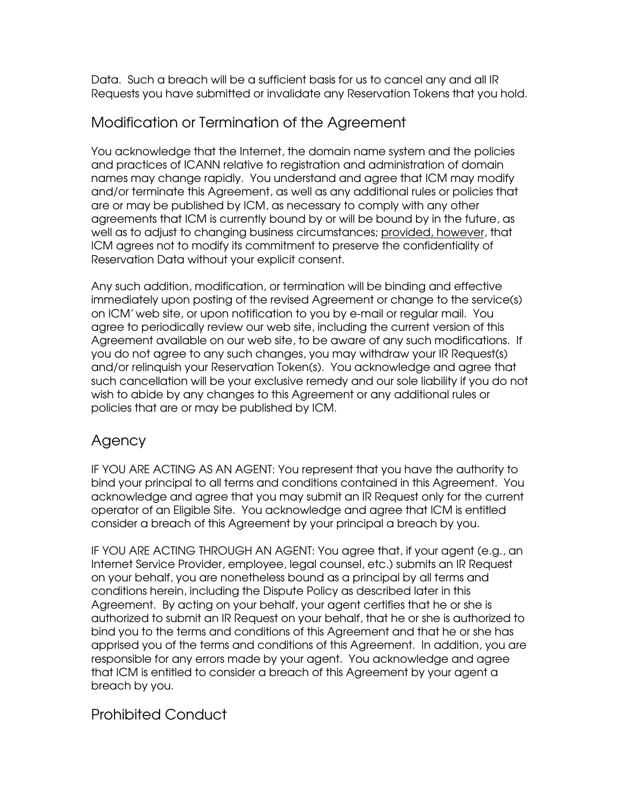Data. Such a breach will be a sufficient basis for us to cancel any and all IR Requests you have submitted or invalidate any Reservation Tokens that you hold.

# Modification or Termination of the Agreement

You acknowledge that the Internet, the domain name system and the policies and practices of ICANN relative to registration and administration of domain names may change rapidly. You understand and agree that ICM may modify and/or terminate this Agreement, as well as any additional rules or policies that are or may be published by ICM, as necessary to comply with any other agreements that ICM is currently bound by or will be bound by in the future, as well as to adjust to changing business circumstances; provided, however, that ICM agrees not to modify its commitment to preserve the confidentiality of Reservation Data without your explicit consent.

Any such addition, modification, or termination will be binding and effective immediately upon posting of the revised Agreement or change to the service(s) on ICM'web site, or upon notification to you by e-mail or regular mail. You agree to periodically review our web site, including the current version of this Agreement available on our web site, to be aware of any such modifications. If you do not agree to any such changes, you may withdraw your IR Request(s) and/or relinquish your Reservation Token(s). You acknowledge and agree that such cancellation will be your exclusive remedy and our sole liability if you do not wish to abide by any changes to this Agreement or any additional rules or policies that are or may be published by ICM.

# Agency

IF YOU ARE ACTING AS AN AGENT: You represent that you have the authority to bind your principal to all terms and conditions contained in this Agreement. You acknowledge and agree that you may submit an IR Request only for the current operator of an Eligible Site. You acknowledge and agree that ICM is entitled consider a breach of this Agreement by your principal a breach by you.

IF YOU ARE ACTING THROUGH AN AGENT: You agree that, if your agent (e.g., an Internet Service Provider, employee, legal counsel, etc.) submits an IR Request on your behalf, you are nonetheless bound as a principal by all terms and conditions herein, including the Dispute Policy as described later in this Agreement. By acting on your behalf, your agent certifies that he or she is authorized to submit an IR Request on your behalf, that he or she is authorized to bind you to the terms and conditions of this Agreement and that he or she has apprised you of the terms and conditions of this Agreement. In addition, you are responsible for any errors made by your agent. You acknowledge and agree that ICM is entitled to consider a breach of this Agreement by your agent a breach by you.

# Prohibited Conduct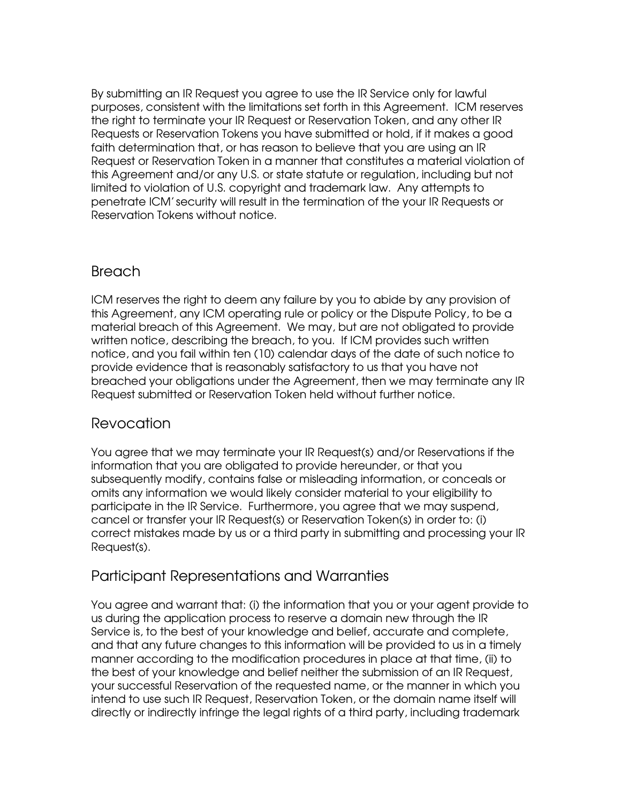By submitting an IR Request you agree to use the IR Service only for lawful purposes, consistent with the limitations set forth in this Agreement. ICM reserves the right to terminate your IR Request or Reservation Token, and any other IR Requests or Reservation Tokens you have submitted or hold, if it makes a good faith determination that, or has reason to believe that you are using an IR Request or Reservation Token in a manner that constitutes a material violation of this Agreement and/or any U.S. or state statute or regulation, including but not limited to violation of U.S. copyright and trademark law. Any attempts to penetrate ICM'security will result in the termination of the your IR Requests or Reservation Tokens without notice.

### **Breach**

ICM reserves the right to deem any failure by you to abide by any provision of this Agreement, any ICM operating rule or policy or the Dispute Policy, to be a material breach of this Agreement. We may, but are not obligated to provide written notice, describing the breach, to you. If ICM provides such written notice, and you fail within ten (10) calendar days of the date of such notice to provide evidence that is reasonably satisfactory to us that you have not breached your obligations under the Agreement, then we may terminate any IR Request submitted or Reservation Token held without further notice.

# Revocation

You agree that we may terminate your IR Request(s) and/or Reservations if the information that you are obligated to provide hereunder, or that you subsequently modify, contains false or misleading information, or conceals or omits any information we would likely consider material to your eligibility to participate in the IR Service. Furthermore, you agree that we may suspend, cancel or transfer your IR Request(s) or Reservation Token(s) in order to: (i) correct mistakes made by us or a third party in submitting and processing your IR Request(s).

# Participant Representations and Warranties

You agree and warrant that: (i) the information that you or your agent provide to us during the application process to reserve a domain new through the IR Service is, to the best of your knowledge and belief, accurate and complete, and that any future changes to this information will be provided to us in a timely manner according to the modification procedures in place at that time, (ii) to the best of your knowledge and belief neither the submission of an IR Request, your successful Reservation of the requested name, or the manner in which you intend to use such IR Request, Reservation Token, or the domain name itself will directly or indirectly infringe the legal rights of a third party, including trademark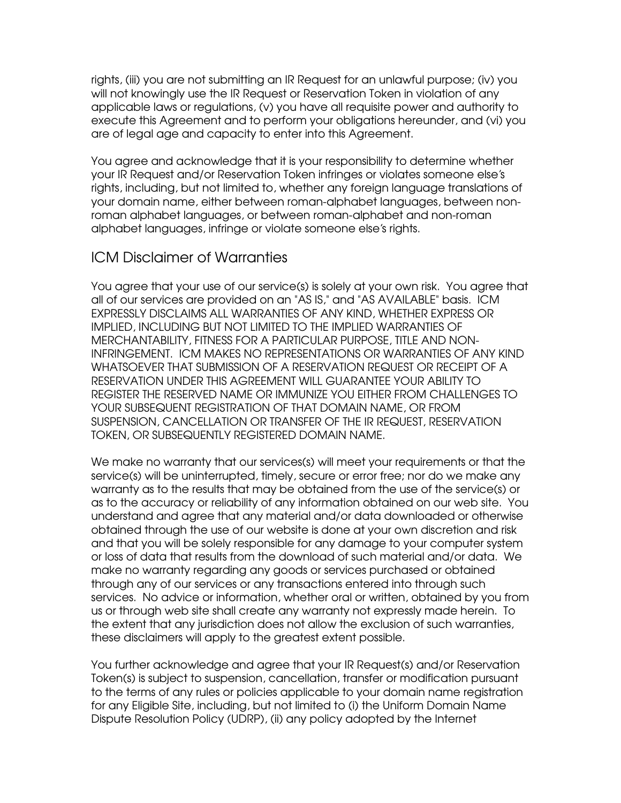rights, (iii) you are not submitting an IR Request for an unlawful purpose; (iv) you will not knowingly use the IR Request or Reservation Token in violation of any applicable laws or regulations, (v) you have all requisite power and authority to execute this Agreement and to perform your obligations hereunder, and (vi) you are of legal age and capacity to enter into this Agreement.

You agree and acknowledge that it is your responsibility to determine whether your IR Request and/or Reservation Token infringes or violates someone else's rights, including, but not limited to, whether any foreign language translations of your domain name, either between roman-alphabet languages, between nonroman alphabet languages, or between roman-alphabet and non-roman alphabet languages, infringe or violate someone else's rights.

### ICM Disclaimer of Warranties

You agree that your use of our service(s) is solely at your own risk. You agree that all of our services are provided on an "AS IS," and "AS AVAILABLE" basis. ICM EXPRESSLY DISCLAIMS ALL WARRANTIES OF ANY KIND, WHETHER EXPRESS OR IMPLIED, INCLUDING BUT NOT LIMITED TO THE IMPLIED WARRANTIES OF MERCHANTABILITY, FITNESS FOR A PARTICULAR PURPOSE, TITLE AND NON-INFRINGEMENT. ICM MAKES NO REPRESENTATIONS OR WARRANTIES OF ANY KIND WHATSOEVER THAT SUBMISSION OF A RESERVATION REQUEST OR RECEIPT OF A RESERVATION UNDER THIS AGREEMENT WILL GUARANTEE YOUR ABILITY TO REGISTER THE RESERVED NAME OR IMMUNIZE YOU EITHER FROM CHALLENGES TO YOUR SUBSEQUENT REGISTRATION OF THAT DOMAIN NAME, OR FROM SUSPENSION, CANCELLATION OR TRANSFER OF THE IR REQUEST, RESERVATION TOKEN, OR SUBSEQUENTLY REGISTERED DOMAIN NAME.

We make no warranty that our services(s) will meet your requirements or that the service(s) will be uninterrupted, timely, secure or error free; nor do we make any warranty as to the results that may be obtained from the use of the service(s) or as to the accuracy or reliability of any information obtained on our web site. You understand and agree that any material and/or data downloaded or otherwise obtained through the use of our website is done at your own discretion and risk and that you will be solely responsible for any damage to your computer system or loss of data that results from the download of such material and/or data. We make no warranty regarding any goods or services purchased or obtained through any of our services or any transactions entered into through such services. No advice or information, whether oral or written, obtained by you from us or through web site shall create any warranty not expressly made herein. To the extent that any jurisdiction does not allow the exclusion of such warranties, these disclaimers will apply to the greatest extent possible.

You further acknowledge and agree that your IR Request(s) and/or Reservation Token(s) is subject to suspension, cancellation, transfer or modification pursuant to the terms of any rules or policies applicable to your domain name registration for any Eligible Site, including, but not limited to (i) the Uniform Domain Name Dispute Resolution Policy (UDRP), (ii) any policy adopted by the Internet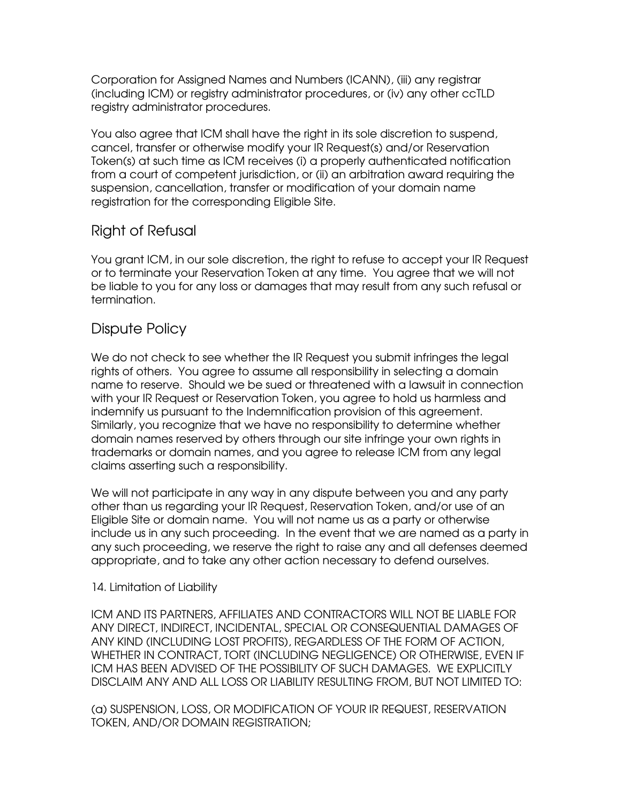Corporation for Assigned Names and Numbers (ICANN), (iii) any registrar (including ICM) or registry administrator procedures, or (iv) any other ccTLD registry administrator procedures.

You also agree that ICM shall have the right in its sole discretion to suspend, cancel, transfer or otherwise modify your IR Request(s) and/or Reservation Token(s) at such time as ICM receives (i) a properly authenticated notification from a court of competent jurisdiction, or (ii) an arbitration award requiring the suspension, cancellation, transfer or modification of your domain name registration for the corresponding Eligible Site.

# Right of Refusal

You grant ICM, in our sole discretion, the right to refuse to accept your IR Request or to terminate your Reservation Token at any time. You agree that we will not be liable to you for any loss or damages that may result from any such refusal or termination.

# Dispute Policy

We do not check to see whether the IR Request you submit infringes the legal rights of others. You agree to assume all responsibility in selecting a domain name to reserve. Should we be sued or threatened with a lawsuit in connection with your IR Request or Reservation Token, you agree to hold us harmless and indemnify us pursuant to the Indemnification provision of this agreement. Similarly, you recognize that we have no responsibility to determine whether domain names reserved by others through our site infringe your own rights in trademarks or domain names, and you agree to release ICM from any legal claims asserting such a responsibility.

We will not participate in any way in any dispute between you and any party other than us regarding your IR Request, Reservation Token, and/or use of an Eligible Site or domain name. You will not name us as a party or otherwise include us in any such proceeding. In the event that we are named as a party in any such proceeding, we reserve the right to raise any and all defenses deemed appropriate, and to take any other action necessary to defend ourselves.

#### 14. Limitation of Liability

ICM AND ITS PARTNERS, AFFILIATES AND CONTRACTORS WILL NOT BE LIABLE FOR ANY DIRECT, INDIRECT, INCIDENTAL, SPECIAL OR CONSEQUENTIAL DAMAGES OF ANY KIND (INCLUDING LOST PROFITS), REGARDLESS OF THE FORM OF ACTION, WHETHER IN CONTRACT, TORT (INCLUDING NEGLIGENCE) OR OTHERWISE, EVEN IF ICM HAS BEEN ADVISED OF THE POSSIBILITY OF SUCH DAMAGES. WE EXPLICITLY DISCLAIM ANY AND ALL LOSS OR LIABILITY RESULTING FROM, BUT NOT LIMITED TO:

(a) SUSPENSION, LOSS, OR MODIFICATION OF YOUR IR REQUEST, RESERVATION TOKEN, AND/OR DOMAIN REGISTRATION;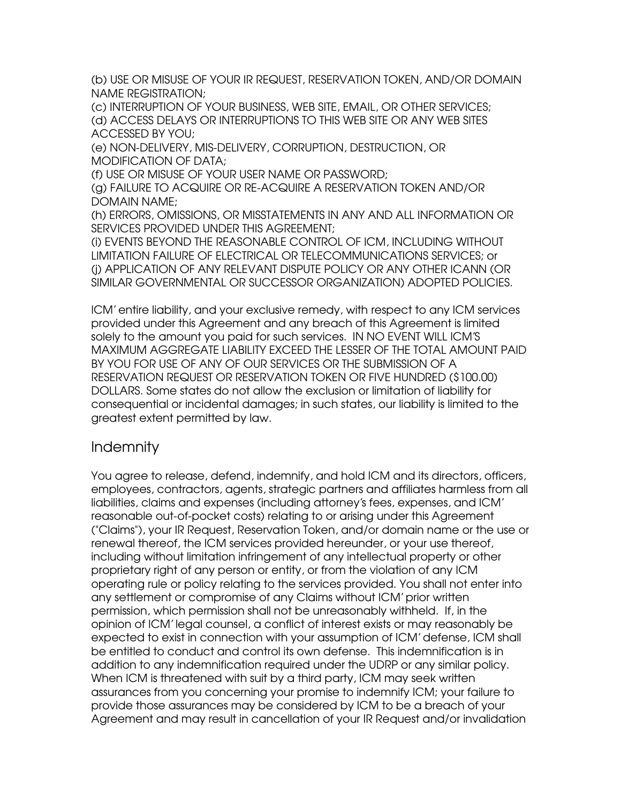(b) USE OR MISUSE OF YOUR IR REQUEST, RESERVATION TOKEN, AND/OR DOMAIN NAME REGISTRATION;

(c) INTERRUPTION OF YOUR BUSINESS, WEB SITE, EMAIL, OR OTHER SERVICES; (d) ACCESS DELAYS OR INTERRUPTIONS TO THIS WEB SITE OR ANY WEB SITES ACCESSED BY YOU;

(e) NON-DELIVERY, MIS-DELIVERY, CORRUPTION, DESTRUCTION, OR MODIFICATION OF DATA;

(f) USE OR MISUSE OF YOUR USER NAME OR PASSWORD;

(g) FAILURE TO ACQUIRE OR RE-ACQUIRE A RESERVATION TOKEN AND/OR DOMAIN NAME;

(h) ERRORS, OMISSIONS, OR MISSTATEMENTS IN ANY AND ALL INFORMATION OR SERVICES PROVIDED UNDER THIS AGREEMENT;

(i) EVENTS BEYOND THE REASONABLE CONTROL OF ICM, INCLUDING WITHOUT LIMITATION FAILURE OF ELECTRICAL OR TELECOMMUNICATIONS SERVICES; or (j) APPLICATION OF ANY RELEVANT DISPUTE POLICY OR ANY OTHER ICANN (OR SIMILAR GOVERNMENTAL OR SUCCESSOR ORGANIZATION) ADOPTED POLICIES.

ICM'entire liability, and your exclusive remedy, with respect to any ICM services provided under this Agreement and any breach of this Agreement is limited solely to the amount you paid for such services. IN NO EVENT WILL ICM'S MAXIMUM AGGREGATE LIABILITY EXCEED THE LESSER OF THE TOTAL AMOUNT PAID BY YOU FOR USE OF ANY OF OUR SERVICES OR THE SUBMISSION OF A RESERVATION REQUEST OR RESERVATION TOKEN OR FIVE HUNDRED (\$100.00) DOLLARS. Some states do not allow the exclusion or limitation of liability for consequential or incidental damages; in such states, our liability is limited to the greatest extent permitted by law.

# Indemnity

You agree to release, defend, indemnify, and hold ICM and its directors, officers, employees, contractors, agents, strategic partners and affiliates harmless from all liabilities, claims and expenses (including attorney's fees, expenses, and ICM' reasonable out-of-pocket costs) relating to or arising under this Agreement ("Claims"), your IR Request, Reservation Token, and/or domain name or the use or renewal thereof, the ICM services provided hereunder, or your use thereof, including without limitation infringement of any intellectual property or other proprietary right of any person or entity, or from the violation of any ICM operating rule or policy relating to the services provided. You shall not enter into any settlement or compromise of any Claims without ICM'prior written permission, which permission shall not be unreasonably withheld. If, in the opinion of ICM'legal counsel, a conflict of interest exists or may reasonably be expected to exist in connection with your assumption of ICM'defense, ICM shall be entitled to conduct and control its own defense. This indemnification is in addition to any indemnification required under the UDRP or any similar policy. When ICM is threatened with suit by a third party, ICM may seek written assurances from you concerning your promise to indemnify ICM; your failure to provide those assurances may be considered by ICM to be a breach of your Agreement and may result in cancellation of your IR Request and/or invalidation